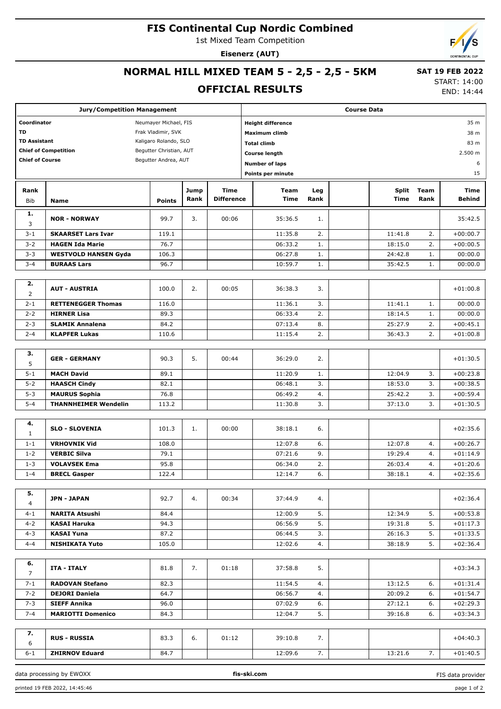#### **FIS Continental Cup Nordic Combined**

1st Mixed Team Competition

**Eisenerz (AUT)**

## **NORMAL HILL MIXED TEAM 5 - 2,5 - 2,5 - 5KM**

#### **OFFICIAL RESULTS**

 **SAT 19 FEB 2022** START: 14:00

END: 14:44

|                             | <b>Jury/Competition Management</b> |                       |      |                   |                      |                          |      | <b>Course Data</b> |              |         |               |
|-----------------------------|------------------------------------|-----------------------|------|-------------------|----------------------|--------------------------|------|--------------------|--------------|---------|---------------|
| Coordinator                 |                                    | Neumayer Michael, FIS |      |                   |                      | <b>Height difference</b> |      |                    |              |         | 35 m          |
| TD<br>Frak Vladimir, SVK    |                                    |                       |      |                   |                      | Maximum climb            |      |                    |              |         | 38 m          |
| <b>TD Assistant</b>         | Kaligaro Rolando, SLO              |                       |      |                   | <b>Total climb</b>   |                          |      |                    |              | 83 m    |               |
| <b>Chief of Competition</b> | Begutter Christian, AUT            |                       |      |                   | <b>Course length</b> |                          |      |                    |              | 2.500 m |               |
| <b>Chief of Course</b>      |                                    | Begutter Andrea, AUT  |      |                   |                      | <b>Number of laps</b>    |      |                    |              |         | 6             |
|                             |                                    |                       |      |                   |                      | Points per minute        |      |                    |              |         | 15            |
|                             |                                    |                       |      |                   |                      |                          |      |                    |              |         |               |
| Rank                        |                                    |                       | Jump | Time              |                      | Team                     | Leg  |                    | <b>Split</b> | Team    | Time          |
| <b>Bib</b>                  | Name                               | <b>Points</b>         | Rank | <b>Difference</b> |                      | <b>Time</b>              | Rank |                    | <b>Time</b>  | Rank    | <b>Behind</b> |
| 1.                          |                                    |                       |      |                   |                      |                          |      |                    |              |         |               |
| 3                           | <b>NOR - NORWAY</b>                | 99.7                  | 3.   | 00:06             |                      | 35:36.5                  | 1.   |                    |              |         | 35:42.5       |
| $3 - 1$                     | <b>SKAARSET Lars Ivar</b>          | 119.1                 |      |                   |                      | 11:35.8                  | 2.   |                    | 11:41.8      | 2.      | $+00:00.7$    |
| $3 - 2$                     | <b>HAGEN Ida Marie</b>             | 76.7                  |      |                   |                      | 06:33.2                  | 1.   |                    | 18:15.0      | 2.      | $+00:00.5$    |
| $3 - 3$                     | <b>WESTVOLD HANSEN Gyda</b>        | 106.3                 |      |                   |                      | 06:27.8                  | 1.   |                    | 24:42.8      | 1.      | 00:00.0       |
| $3 - 4$                     | <b>BURAAS Lars</b>                 | 96.7                  |      |                   |                      | 10:59.7                  | 1.   |                    | 35:42.5      | 1.      | 00:00.0       |
|                             |                                    |                       |      |                   |                      |                          |      |                    |              |         |               |
| 2.                          |                                    |                       |      |                   |                      |                          |      |                    |              |         |               |
| $\overline{2}$              | <b>AUT - AUSTRIA</b>               | 100.0                 | 2.   | 00:05             |                      | 36:38.3                  | 3.   |                    |              |         | $+01:00.8$    |
| $2 - 1$                     | <b>RETTENEGGER Thomas</b>          | 116.0                 |      |                   |                      | 11:36.1                  | 3.   |                    | 11:41.1      | 1.      | 00:00.0       |
| $2 - 2$                     | <b>HIRNER Lisa</b>                 | 89.3                  |      |                   |                      | 06:33.4                  | 2.   |                    | 18:14.5      | 1.      | 00:00.0       |
| $2 - 3$                     | <b>SLAMIK Annalena</b>             | 84.2                  |      |                   |                      | 07:13.4                  | 8.   |                    | 25:27.9      | 2.      | $+00:45.1$    |
| $2 - 4$                     | <b>KLAPFER Lukas</b>               | 110.6                 |      |                   |                      | 11:15.4                  | 2.   |                    | 36:43.3      | 2.      | $+01:00.8$    |
|                             |                                    |                       |      |                   |                      |                          |      |                    |              |         |               |
| з.                          |                                    |                       |      |                   |                      |                          |      |                    |              |         |               |
| 5                           | <b>GER - GERMANY</b>               | 90.3                  | 5.   | 00:44             |                      | 36:29.0                  | 2.   |                    |              |         | $+01:30.5$    |
| $5 - 1$                     | <b>MACH David</b>                  | 89.1                  |      |                   |                      | 11:20.9                  | 1.   |                    | 12:04.9      | 3.      | $+00:23.8$    |
| $5 - 2$                     | <b>HAASCH Cindy</b>                | 82.1                  |      |                   |                      | 06:48.1                  | 3.   |                    | 18:53.0      | 3.      | $+00:38.5$    |
| $5 - 3$                     | <b>MAURUS Sophia</b>               | 76.8                  |      |                   |                      | 06:49.2                  | 4.   |                    | 25:42.2      | 3.      | $+00:59.4$    |
| $5 - 4$                     | <b>THANNHEIMER Wendelin</b>        | 113.2                 |      |                   |                      | 11:30.8                  | 3.   |                    | 37:13.0      | 3.      | $+01:30.5$    |
|                             |                                    |                       |      |                   |                      |                          |      |                    |              |         |               |
| 4.                          |                                    |                       |      |                   |                      |                          |      |                    |              |         |               |
| 1                           | <b>SLO - SLOVENIA</b>              | 101.3                 | 1.   | 00:00             |                      | 38:18.1                  | 6.   |                    |              |         | $+02:35.6$    |
| $1 - 1$                     | <b>VRHOVNIK Vid</b>                | 108.0                 |      |                   |                      | 12:07.8                  | 6.   |                    | 12:07.8      | 4.      | $+00:26.7$    |
| $1 - 2$                     | <b>VERBIC Silva</b>                | 79.1                  |      |                   |                      | 07:21.6                  | 9.   |                    | 19:29.4      | 4.      | $+01:14.9$    |
| $1 - 3$                     | <b>VOLAVSEK Ema</b>                | 95.8                  |      |                   |                      | 06:34.0                  | 2.   |                    | 26:03.4      | 4.      | $+01:20.6$    |
| $1 - 4$                     | <b>BRECL Gasper</b>                | 122.4                 |      |                   |                      | 12:14.7                  | 6.   |                    | 38:18.1      | 4.      | $+02:35.6$    |
|                             |                                    |                       |      |                   |                      |                          |      |                    |              |         |               |
| 5.                          | <b>JPN - JAPAN</b>                 | 92.7                  | 4.   | 00:34             |                      | 37:44.9                  | 4.   |                    |              |         | $+02:36.4$    |
| 4                           |                                    |                       |      |                   |                      |                          |      |                    |              |         |               |
| $4 - 1$                     | <b>NARITA Atsushi</b>              | 84.4                  |      |                   |                      | 12:00.9                  | 5.   |                    | 12:34.9      | 5.      | $+00:53.8$    |
| $4 - 2$                     | <b>KASAI Haruka</b>                | 94.3                  |      |                   |                      | 06:56.9                  | 5.   |                    | 19:31.8      | 5.      | $+01:17.3$    |
| $4 - 3$                     | <b>KASAI Yuna</b>                  | 87.2                  |      |                   |                      | 06:44.5                  | 3.   |                    | 26:16.3      | 5.      | $+01:33.5$    |
| $4 - 4$                     | <b>NISHIKATA Yuto</b>              | 105.0                 |      |                   |                      | 12:02.6                  | 4.   |                    | 38:18.9      | 5.      | $+02:36.4$    |
|                             |                                    |                       |      |                   |                      |                          |      |                    |              |         |               |
| 6.                          | <b>ITA - ITALY</b>                 | 81.8                  | 7.   | 01:18             |                      | 37:58.8                  | 5.   |                    |              |         | $+03:34.3$    |
| $\overline{7}$              |                                    |                       |      |                   |                      |                          |      |                    |              |         |               |
| $7 - 1$                     | <b>RADOVAN Stefano</b>             | 82.3                  |      |                   |                      | 11:54.5                  | 4.   |                    | 13:12.5      | 6.      | $+01:31.4$    |
| $7 - 2$                     | <b>DEJORI Daniela</b>              | 64.7                  |      |                   |                      | 06:56.7                  | 4.   |                    | 20:09.2      | 6.      | $+01:54.7$    |
| $7 - 3$                     | <b>SIEFF Annika</b>                | 96.0                  |      |                   |                      | 07:02.9                  | 6.   |                    | 27:12.1      | 6.      | $+02:29.3$    |
| $7 - 4$                     | <b>MARIOTTI Domenico</b>           | 84.3                  |      |                   |                      | 12:04.7                  | 5.   |                    | 39:16.8      | 6.      | $+03:34.3$    |
|                             |                                    |                       |      |                   |                      |                          |      |                    |              |         |               |
| 7.                          | <b>RUS - RUSSIA</b>                | 83.3                  | 6.   | 01:12             |                      | 39:10.8                  | 7.   |                    |              |         | $+04:40.3$    |
| 6                           |                                    |                       |      |                   |                      |                          |      |                    |              |         |               |
| $6 - 1$                     | <b>ZHIRNOV Eduard</b>              | 84.7                  |      |                   |                      | 12:09.6                  | 7.   |                    | 13:21.6      | 7.      | $+01:40.5$    |

data processing by EWOXX **fis-ski.com**

FIS data provider